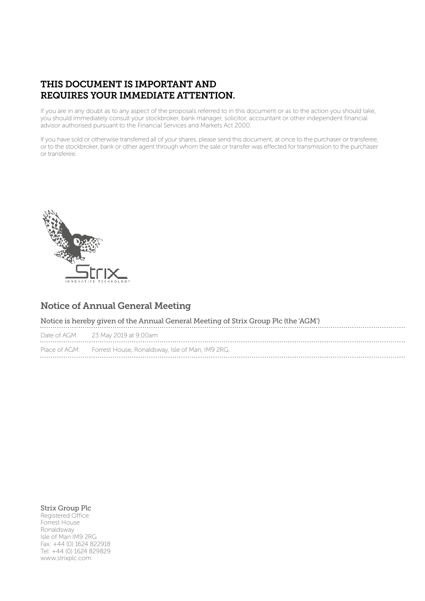# THIS DOCUMENT IS IMPORTANT AND REQUIRES YOUR IMMEDIATE ATTENTION.

If you are in any doubt as to any aspect of the proposals referred to in this document or as to the action you should take, you should immediately consult your stockbroker, bank manager, solicitor, accountant or other independent financial advisor authorised pursuant to the Financial Services and Markets Act 2000.

If you have sold or otherwise transferred all of your shares, please send this document, at once to the purchaser or transferee, or to the stockbroker, bank or other agent through whom the sale or transfer was effected for transmission to the purchaser or transferee.



# Notice of Annual General Meeting

| Notice is hereby given of the Annual General Meeting of Strix Group Plc (the 'AGM') |                                                                |
|-------------------------------------------------------------------------------------|----------------------------------------------------------------|
|                                                                                     | Date of AGM: 23 May 2019 at 9:00am                             |
|                                                                                     | Place of AGM: Forrest House, Ronaldsway, Isle of Man, IM9 2RG. |

# Strix Group Plc

Registered Office: Forrest House Ronaldsway Isle of Man IM9 2RG Fax: +44 (0) 1624 822918 Tel: +44 (0) 1624 829829 www.strixplc.com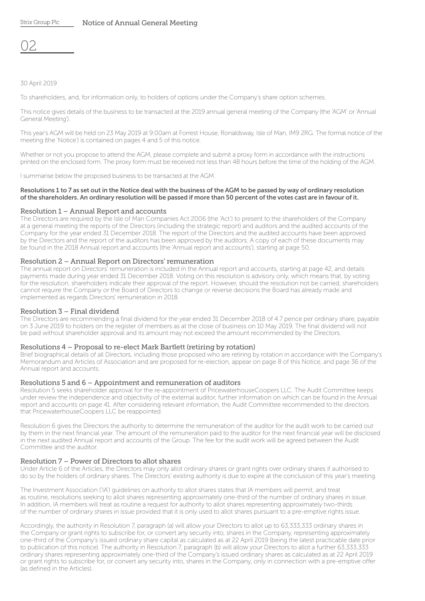02

# 30 April 2019

To shareholders, and, for information only, to holders of options under the Company's share option schemes.

This notice gives details of the business to be transacted at the 2019 annual general meeting of the Company (the 'AGM' or 'Annual General Meeting').

This year's AGM will be held on 23 May 2019 at 9:00am at Forrest House, Ronaldsway, Isle of Man, IM9 2RG. The formal notice of the meeting (the 'Notice') is contained on pages 4 and 5 of this notice.

Whether or not you propose to attend the AGM, please complete and submit a proxy form in accordance with the instructions printed on the enclosed form. The proxy form must be received not less than 48 hours before the time of the holding of the AGM.

I summarise below the proposed business to be transacted at the AGM.

#### Resolutions 1 to 7 as set out in the Notice deal with the business of the AGM to be passed by way of ordinary resolution of the shareholders. An ordinary resolution will be passed if more than 50 percent of the votes cast are in favour of it.

#### Resolution 1 – Annual Report and accounts

The Directors are required by the Isle of Man Companies Act 2006 (the 'Act') to present to the shareholders of the Company at a general meeting the reports of the Directors (including the strategic report) and auditors and the audited accounts of the Company for the year ended 31 December 2018. The report of the Directors and the audited accounts have been approved by the Directors and the report of the auditors has been approved by the auditors. A copy of each of these documents may be found in the 2018 Annual report and accounts (the 'Annual report and accounts'), starting at page 50.

#### Resolution 2 – Annual Report on Directors' remuneration

The annual report on Directors' remuneration is included in the Annual report and accounts, starting at page 42, and details payments made during year ended 31 December 2018. Voting on this resolution is advisory only, which means that, by voting for the resolution, shareholders indicate their approval of the report. However, should the resolution not be carried, shareholders cannot require the Company or the Board of Directors to change or reverse decisions the Board has already made and implemented as regards Directors' remuneration in 2018.

#### Resolution 3 – Final dividend

The Directors are recommending a final dividend for the year ended 31 December 2018 of 4.7 pence per ordinary share, payable on 3 June 2019 to holders on the register of members as at the close of business on 10 May 2019. The final dividend will not be paid without shareholder approval and its amount may not exceed the amount recommended by the Directors.

#### Resolutions 4 – Proposal to re-elect Mark Bartlett (retiring by rotation)

Brief biographical details of all Directors, including those proposed who are retiring by rotation in accordance with the Company's Memorandum and Articles of Association and are proposed for re-election, appear on page 8 of this Notice, and page 36 of the Annual report and accounts.

#### Resolutions 5 and 6 – Appointment and remuneration of auditors

Resolution 5 seeks shareholder approval for the re-appointment of PricewaterhouseCoopers LLC. The Audit Committee keeps under review the independence and objectivity of the external auditor, further information on which can be found in the Annual report and accounts on page 41. After considering relevant information, the Audit Committee recommended to the directors that PricewaterhouseCoopers LLC be reappointed.

Resolution 6 gives the Directors the authority to determine the remuneration of the auditor for the audit work to be carried out by them in the next financial year. The amount of the remuneration paid to the auditor for the next financial year will be disclosed in the next audited Annual report and accounts of the Group. The fee for the audit work will be agreed between the Audit Committee and the auditor.

#### Resolution 7 – Power of Directors to allot shares

Under Article 6 of the Articles, the Directors may only allot ordinary shares or grant rights over ordinary shares if authorised to do so by the holders of ordinary shares. The Directors' existing authority is due to expire at the conclusion of this year's meeting.

The Investment Association ('IA') guidelines on authority to allot shares states that IA members will permit, and treat as routine, resolutions seeking to allot shares representing approximately one-third of the number of ordinary shares in issue. In addition, IA members will treat as routine a request for authority to allot shares representing approximately two-thirds of the number of ordinary shares in issue provided that it is only used to allot shares pursuant to a pre-emptive rights issue.

Accordingly, the authority in Resolution 7, paragraph (a) will allow your Directors to allot up to 63,333,333 ordinary shares in the Company or grant rights to subscribe for, or convert any security into, shares in the Company, representing approximately one-third of the Company's issued ordinary share capital as calculated as at 22 April 2019 (being the latest practicable date prior to publication of this notice). The authority in Resolution 7, paragraph (b) will allow your Directors to allot a further 63,333,333 ordinary shares representing approximately one-third of the Company's issued ordinary shares as calculated as at 22 April 2019 or grant rights to subscribe for, or convert any security into, shares in the Company, only in connection with a pre-emptive offer (as defined in the Articles).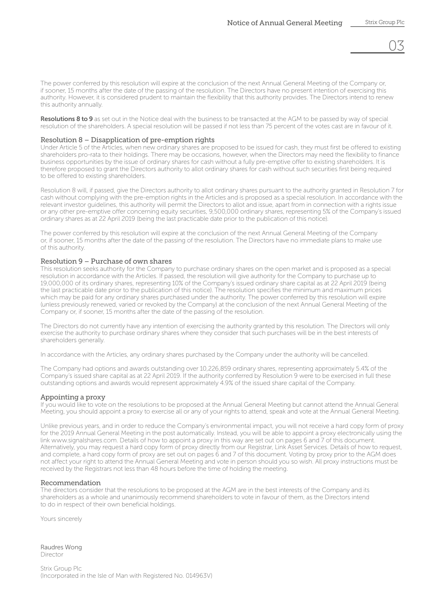03

The power conferred by this resolution will expire at the conclusion of the next Annual General Meeting of the Company or, if sooner, 15 months after the date of the passing of the resolution. The Directors have no present intention of exercising this authority. However, it is considered prudent to maintain the flexibility that this authority provides. The Directors intend to renew this authority annually.

Resolutions 8 to 9 as set out in the Notice deal with the business to be transacted at the AGM to be passed by way of special resolution of the shareholders. A special resolution will be passed if not less than 75 percent of the votes cast are in favour of it.

#### Resolution 8 – Disapplication of pre-emption rights

Under Article 5 of the Articles, when new ordinary shares are proposed to be issued for cash, they must first be offered to existing shareholders pro-rata to their holdings. There may be occasions, however, when the Directors may need the flexibility to finance business opportunities by the issue of ordinary shares for cash without a fully pre-emptive offer to existing shareholders. It is therefore proposed to grant the Directors authority to allot ordinary shares for cash without such securities first being required to be offered to existing shareholders.

Resolution 8 will, if passed, give the Directors authority to allot ordinary shares pursuant to the authority granted in Resolution 7 for cash without complying with the pre-emption rights in the Articles and is proposed as a special resolution. In accordance with the relevant investor guidelines, this authority will permit the Directors to allot and issue, apart from in connection with a rights issue or any other pre-emptive offer concerning equity securities, 9,500,000 ordinary shares, representing 5% of the Company's issued ordinary shares as at 22 April 2019 (being the last practicable date prior to the publication of this notice).

The power conferred by this resolution will expire at the conclusion of the next Annual General Meeting of the Company or, if sooner, 15 months after the date of the passing of the resolution. The Directors have no immediate plans to make use of this authority.

#### Resolution 9 – Purchase of own shares

This resolution seeks authority for the Company to purchase ordinary shares on the open market and is proposed as a special resolution in accordance with the Articles. If passed, the resolution will give authority for the Company to purchase up to 19,000,000 of its ordinary shares, representing 10% of the Company's issued ordinary share capital as at 22 April 2019 (being the last practicable date prior to the publication of this notice). The resolution specifies the minimum and maximum prices which may be paid for any ordinary shares purchased under the authority. The power conferred by this resolution will expire (unless previously renewed, varied or revoked by the Company) at the conclusion of the next Annual General Meeting of the Company or, if sooner, 15 months after the date of the passing of the resolution.

The Directors do not currently have any intention of exercising the authority granted by this resolution. The Directors will only exercise the authority to purchase ordinary shares where they consider that such purchases will be in the best interests of shareholders generally.

In accordance with the Articles, any ordinary shares purchased by the Company under the authority will be cancelled.

The Company had options and awards outstanding over 10,226,859 ordinary shares, representing approximately 5.4% of the Company's issued share capital as at 22 April 2019. If the authority conferred by Resolution 9 were to be exercised in full these outstanding options and awards would represent approximately 4.9% of the issued share capital of the Company.

#### Appointing a proxy

If you would like to vote on the resolutions to be proposed at the Annual General Meeting but cannot attend the Annual General Meeting, you should appoint a proxy to exercise all or any of your rights to attend, speak and vote at the Annual General Meeting.

Unlike previous years, and in order to reduce the Company's environmental impact, you will not receive a hard copy form of proxy for the 2019 Annual General Meeting in the post automatically. Instead, you will be able to appoint a proxy electronically using the link www.signalshares.com. Details of how to appoint a proxy in this way are set out on pages 6 and 7 of this document. Alternatively, you may request a hard copy form of proxy directly from our Registrar, Link Asset Services. Details of how to request, and complete, a hard copy form of proxy are set out on pages 6 and 7 of this document. Voting by proxy prior to the AGM does not affect your right to attend the Annual General Meeting and vote in person should you so wish. All proxy instructions must be received by the Registrars not less than 48 hours before the time of holding the meeting.

#### Recommendation

The directors consider that the resolutions to be proposed at the AGM are in the best interests of the Company and its shareholders as a whole and unanimously recommend shareholders to vote in favour of them, as the Directors intend to do in respect of their own beneficial holdings.

Yours sincerely

Raudres Wong Director

Strix Group Plc (Incorporated in the Isle of Man with Registered No. 014963V)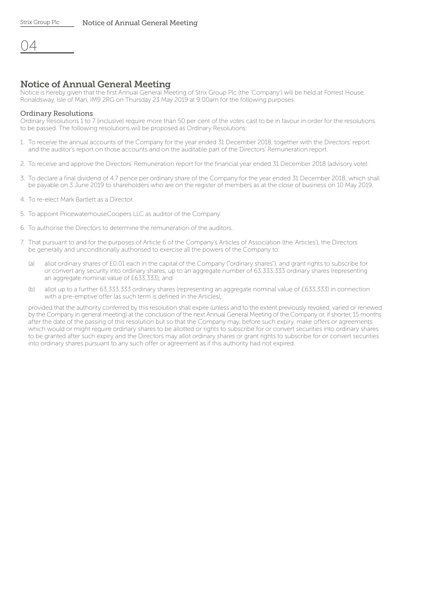|--|

# Notice of Annual General Meeting

Notice is hereby given that the first Annual General Meeting of Strix Group Plc (the 'Company') will be held at Forrest House, Ronaldsway, Isle of Man, IM9 2RG on Thursday 23 May 2019 at 9:00am for the following purposes:

#### Ordinary Resolutions

Ordinary Resolutions 1 to 7 (inclusive) require more than 50 per cent of the votes cast to be in favour in order for the resolutions to be passed. The following resolutions will be proposed as Ordinary Resolutions:

- 1. To receive the annual accounts of the Company for the year ended 31 December 2018, together with the Directors' report and the auditor's report on those accounts and on the auditable part of the Directors' Remuneration report.
- 2. To receive and approve the Directors' Remuneration report for the financial year ended 31 December 2018 (advisory vote).
- 3. To declare a final dividend of 4.7 pence per ordinary share of the Company for the year ended 31 December 2018, which shall be payable on 3 June 2019 to shareholders who are on the register of members as at the close of business on 10 May 2019.
- 4. To re-elect Mark Bartlett as a Director.
- 5. To appoint PricewaterhouseCoopers LLC as auditor of the Company.
- 6. To authorise the Directors to determine the remuneration of the auditors.
- 7. That pursuant to and for the purposes of Article 6 of the Company's Articles of Association (the 'Articles'), the Directors be generally and unconditionally authorised to exercise all the powers of the Company to:
	- (a) allot ordinary shares of £0.01 each in the capital of the Company ("ordinary shares"), and grant rights to subscribe for or convert any security into ordinary shares, up to an aggregate number of 63,333,333 ordinary shares (representing an aggregate nominal value of £633,333); and
	- (b) allot up to a further 63,333,333 ordinary shares (representing an aggregate nominal value of £633,333) in connection with a pre-emptive offer (as such term is defined in the Articles),

provided that the authority conferred by this resolution shall expire (unless and to the extent previously revoked, varied or renewed by the Company in general meeting) at the conclusion of the next Annual General Meeting of the Company or, if shorter, 15 months after the date of the passing of this resolution but so that the Company may, before such expiry, make offers or agreements which would or might require ordinary shares to be allotted or rights to subscribe for or convert securities into ordinary shares to be granted after such expiry and the Directors may allot ordinary shares or grant rights to subscribe for or convert securities into ordinary shares pursuant to any such offer or agreement as if this authority had not expired.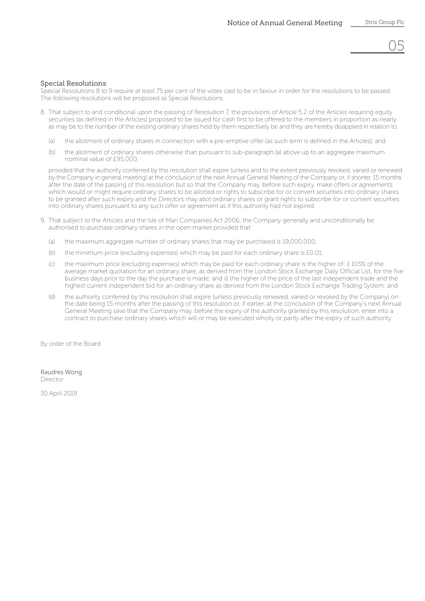## Special Resolutions

Special Resolutions 8 to 9 require at least 75 per cent of the votes cast to be in favour in order for the resolutions to be passed. The following resolutions will be proposed as Special Resolutions:

- 8. That subject to and conditional upon the passing of Resolution 7, the provisions of Article 5.2 of the Articles requiring equity securities (as defined in the Articles) proposed to be issued for cash first to be offered to the members in proportion as nearly as may be to the number of the existing ordinary shares held by them respectively be and they are hereby disapplied in relation to:
	- (a) the allotment of ordinary shares in connection with a pre-emptive offer (as such term is defined in the Articles); and
	- (b) the allotment of ordinary shares otherwise than pursuant to sub-paragraph (a) above up to an aggregate maximum nominal value of £95,000,

provided that the authority conferred by this resolution shall expire (unless and to the extent previously revoked, varied or renewed by the Company in general meeting) at the conclusion of the next Annual General Meeting of the Company or, if shorter, 15 months after the date of the passing of this resolution but so that the Company may, before such expiry, make offers or agreements which would or might require ordinary shares to be allotted or rights to subscribe for or convert securities into ordinary shares to be granted after such expiry and the Directors may allot ordinary shares or grant rights to subscribe for or convert securities into ordinary shares pursuant to any such offer or agreement as if this authority had not expired.

- 9. That subject to the Articles and the Isle of Man Companies Act 2006, the Company generally and unconditionally be authorised to purchase ordinary shares in the open market provided that:
	- (a) the maximum aggregate number of ordinary shares that may be purchased is 19,000,000;
	- (b) the minimum price (excluding expenses) which may be paid for each ordinary share is £0.01;
	- (c) the maximum price (excluding expenses) which may be paid for each ordinary share is the higher of: i) 105% of the average market quotation for an ordinary share, as derived from the London Stock Exchange Daily Official List, for the five business days prior to the day the purchase is made; and ii) the higher of the price of the last independent trade and the highest current independent bid for an ordinary share as derived from the London Stock Exchange Trading System; and
	- (d) the authority conferred by this resolution shall expire (unless previously renewed, varied or revoked by the Company) on the date being 15 months after the passing of this resolution or, if earlier, at the conclusion of the Company's next Annual General Meeting save that the Company may, before the expiry of the authority granted by this resolution, enter into a contract to purchase ordinary shares which will or may be executed wholly or partly after the expiry of such authority.

By order of the Board

Raudres Wong Director

30 April 2019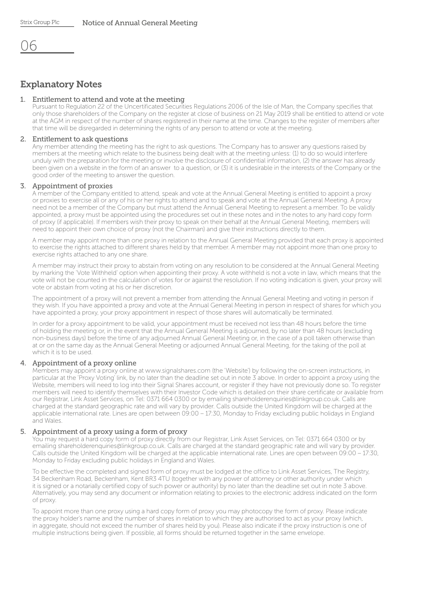# Explanatory Notes

#### 1. Entitlement to attend and vote at the meeting

 Pursuant to Regulation 22 of the Uncertificated Securities Regulations 2006 of the Isle of Man, the Company specifies that only those shareholders of the Company on the register at close of business on 21 May 2019 shall be entitled to attend or vote at the AGM in respect of the number of shares registered in their name at the time. Changes to the register of members after that time will be disregarded in determining the rights of any person to attend or vote at the meeting.

#### 2. Entitlement to ask questions

 Any member attending the meeting has the right to ask questions. The Company has to answer any questions raised by members at the meeting which relate to the business being dealt with at the meeting unless: (1) to do so would interfere unduly with the preparation for the meeting or involve the disclosure of confidential information, (2) the answer has already been given on a website in the form of an answer to a question, or (3) it is undesirable in the interests of the Company or the good order of the meeting to answer the question.

#### 3. Appointment of proxies

A member of the Company entitled to attend, speak and vote at the Annual General Meeting is entitled to appoint a proxy or proxies to exercise all or any of his or her rights to attend and to speak and vote at the Annual General Meeting. A proxy need not be a member of the Company but must attend the Annual General Meeting to represent a member. To be validly appointed, a proxy must be appointed using the procedures set out in these notes and in the notes to any hard copy form of proxy (if applicable). If members wish their proxy to speak on their behalf at the Annual General Meeting, members will need to appoint their own choice of proxy (not the Chairman) and give their instructions directly to them.

 A member may appoint more than one proxy in relation to the Annual General Meeting provided that each proxy is appointed to exercise the rights attached to different shares held by that member. A member may not appoint more than one proxy to exercise rights attached to any one share.

 A member may instruct their proxy to abstain from voting on any resolution to be considered at the Annual General Meeting by marking the 'Vote Withheld' option when appointing their proxy. A vote withheld is not a vote in law, which means that the vote will not be counted in the calculation of votes for or against the resolution. If no voting indication is given, your proxy will vote or abstain from voting at his or her discretion.

 The appointment of a proxy will not prevent a member from attending the Annual General Meeting and voting in person if they wish. If you have appointed a proxy and vote at the Annual General Meeting in person in respect of shares for which you have appointed a proxy, your proxy appointment in respect of those shares will automatically be terminated.

 In order for a proxy appointment to be valid, your appointment must be received not less than 48 hours before the time of holding the meeting or, in the event that the Annual General Meeting is adjourned, by no later than 48 hours (excluding non-business days) before the time of any adjourned Annual General Meeting or, in the case of a poll taken otherwise than at or on the same day as the Annual General Meeting or adjourned Annual General Meeting, for the taking of the poll at which it is to be used.

#### 4. Appointment of a proxy online

 Members may appoint a proxy online at www.signalshares.com (the 'Website') by following the on-screen instructions, in particular at the 'Proxy Voting' link, by no later than the deadline set out in note 3 above. In order to appoint a proxy using the Website, members will need to log into their Signal Shares account, or register if they have not previously done so. To register members will need to identify themselves with their Investor Code which is detailed on their share certificate or available from our Registrar, Link Asset Services, on Tel: 0371 664 0300 or by emailing shareholderenquiries@linkgroup.co.uk. Calls are charged at the standard geographic rate and will vary by provider. Calls outside the United Kingdom will be charged at the applicable international rate. Lines are open between 09:00 – 17:30, Monday to Friday excluding public holidays in England and Wales.

#### 5. Appointment of a proxy using a form of proxy

 You may request a hard copy form of proxy directly from our Registrar, Link Asset Services, on Tel: 0371 664 0300 or by emailing shareholderenquiries@linkgroup.co.uk. Calls are charged at the standard geographic rate and will vary by provider. Calls outside the United Kingdom will be charged at the applicable international rate. Lines are open between 09:00 – 17:30, Monday to Friday excluding public holidays in England and Wales.

 To be effective the completed and signed form of proxy must be lodged at the office to Link Asset Services, The Registry, 34 Beckenham Road, Beckenham, Kent BR3 4TU (together with any power of attorney or other authority under which it is signed or a notarially certified copy of such power or authority) by no later than the deadline set out in note 3 above. Alternatively, you may send any document or information relating to proxies to the electronic address indicated on the form of proxy.

 To appoint more than one proxy using a hard copy form of proxy you may photocopy the form of proxy. Please indicate the proxy holder's name and the number of shares in relation to which they are authorised to act as your proxy (which, in aggregate, should not exceed the number of shares held by you). Please also indicate if the proxy instruction is one of multiple instructions being given. If possible, all forms should be returned together in the same envelope.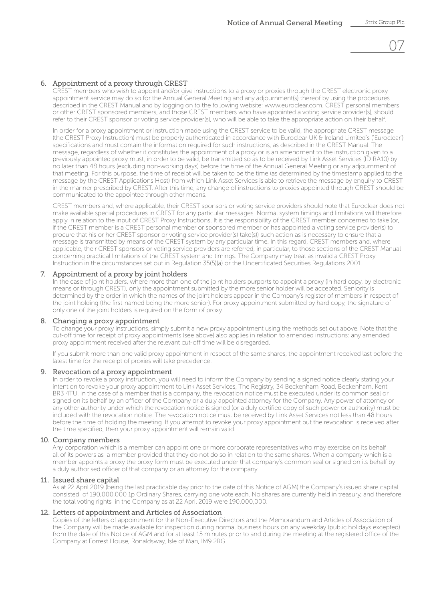# 07

# 6. Appointment of a proxy through CREST

 CREST members who wish to appoint and/or give instructions to a proxy or proxies through the CREST electronic proxy appointment service may do so for the Annual General Meeting and any adjournment(s) thereof by using the procedures described in the CREST Manual and by logging on to the following website: www.euroclear.com. CREST personal members or other CREST sponsored members, and those CREST members who have appointed a voting service provider(s), should refer to their CREST sponsor or voting service provider(s), who will be able to take the appropriate action on their behalf.

 In order for a proxy appointment or instruction made using the CREST service to be valid, the appropriate CREST message (the CREST Proxy Instruction) must be properly authenticated in accordance with Euroclear UK & Ireland Limited's ('Euroclear') specifications and must contain the information required for such instructions, as described in the CREST Manual. The message, regardless of whether it constitutes the appointment of a proxy or is an amendment to the instruction given to a previously appointed proxy must, in order to be valid, be transmitted so as to be received by Link Asset Services (ID RA10) by no later than 48 hours (excluding non-working days) before the time of the Annual General Meeting or any adjournment of that meeting. For this purpose, the time of receipt will be taken to be the time (as determined by the timestamp applied to the message by the CREST Applications Host) from which Link Asset Services is able to retrieve the message by enquiry to CREST in the manner prescribed by CREST. After this time, any change of instructions to proxies appointed through CREST should be communicated to the appointee through other means.

 CREST members and, where applicable, their CREST sponsors or voting service providers should note that Euroclear does not make available special procedures in CREST for any particular messages. Normal system timings and limitations will therefore apply in relation to the input of CREST Proxy Instructions. It is the responsibility of the CREST member concerned to take (or, if the CREST member is a CREST personal member or sponsored member or has appointed a voting service provider(s) to procure that his or her CREST sponsor or voting service provider(s) take(s)) such action as is necessary to ensure that a message is transmitted by means of the CREST system by any particular time. In this regard, CREST members and, where applicable, their CREST sponsors or voting service providers are referred, in particular, to those sections of the CREST Manual concerning practical limitations of the CREST system and timings. The Company may treat as invalid a CREST Proxy Instruction in the circumstances set out in Regulation 35(5)(a) or the Uncertificated Securities Regulations 2001.

# 7. Appointment of a proxy by joint holders

 In the case of joint holders, where more than one of the joint holders purports to appoint a proxy (in hard copy, by electronic means or through CREST), only the appointment submitted by the more senior holder will be accepted. Seniority is determined by the order in which the names of the joint holders appear in the Company's register of members in respect of the joint holding (the first-named being the more senior). For proxy appointment submitted by hard copy, the signature of only one of the joint holders is required on the form of proxy.

## 8. Changing a proxy appointment

 To change your proxy instructions, simply submit a new proxy appointment using the methods set out above. Note that the cut-off time for receipt of proxy appointments (see above) also applies in relation to amended instructions: any amended proxy appointment received after the relevant cut-off time will be disregarded.

 If you submit more than one valid proxy appointment in respect of the same shares, the appointment received last before the latest time for the receipt of proxies will take precedence.

## 9. Revocation of a proxy appointment

 In order to revoke a proxy instruction, you will need to inform the Company by sending a signed notice clearly stating your intention to revoke your proxy appointment to Link Asset Services, The Registry, 34 Beckenham Road, Beckenham, Kent BR3 4TU. In the case of a member that is a company, the revocation notice must be executed under its common seal or signed on its behalf by an officer of the Company or a duly appointed attorney for the Company. Any power of attorney or any other authority under which the revocation notice is signed (or a duly certified copy of such power or authority) must be included with the revocation notice. The revocation notice must be received by Link Asset Services not less than 48 hours before the time of holding the meeting. If you attempt to revoke your proxy appointment but the revocation is received after the time specified, then your proxy appointment will remain valid.

# 10. Company members

 Any corporation which is a member can appoint one or more corporate representatives who may exercise on its behalf all of its powers as a member provided that they do not do so in relation to the same shares. When a company which is a member appoints a proxy the proxy form must be executed under that company's common seal or signed on its behalf by a duly authorised officer of that company or an attorney for the company.

# 11. Issued share capital

 As at 22 April 2019 (being the last practicable day prior to the date of this Notice of AGM) the Company's issued share capital consisted of 190,000,000 1p Ordinary Shares, carrying one vote each. No shares are currently held in treasury, and therefore the total voting rights in the Company as at 22 April 2019 were 190,000,000.

# 12. Letters of appointment and Articles of Association

 Copies of the letters of appointment for the Non-Executive Directors and the Memorandum and Articles of Association of the Company will be made available for inspection during normal business hours on any weekday (public holidays excepted) from the date of this Notice of AGM and for at least 15 minutes prior to and during the meeting at the registered office of the Company at Forrest House, Ronaldsway, Isle of Man, IM9 2RG.